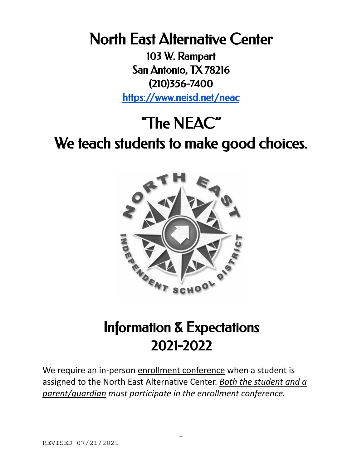North East Alternative Center

103 W. Rampart San Antonio, TX 78216 (210)356-7400 <https://www.neisd.net/neac>

# "The NEAC" We teach students to make good choices.



## Information & Expectations 2021-2022

We require an in-person enrollment conference when a student is assigned to the North East Alternative Center. *Both the student and a parent/guardian must participate in the enrollment conference.*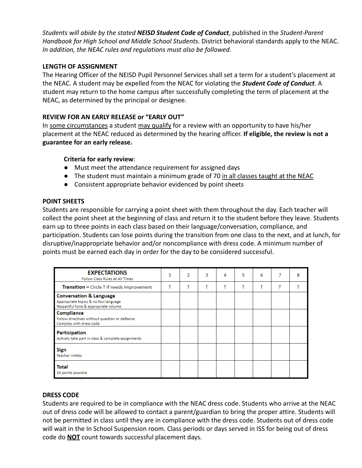*Students will abide by the stated NEISD Student Code of Conduct*, published in the *Student-Parent Handbook for High School and Middle School Students.* District behavioral standards apply to the NEAC. *In addition, the NEAC rules and regulations must also be followed.*

#### **LENGTH OF ASSIGNMENT**

The Hearing Officer of the NEISD Pupil Personnel Services shall set a term for a student's placement at the NEAC. A student may be expelled from the NEAC for violating the *Student Code of Conduct*. A student may return to the home campus after successfully completing the term of placement at the NEAC, as determined by the principal or designee.

#### **REVIEW FOR AN EARLY RELEASE or "EARLY OUT"**

In some circumstances a student may qualify for a review with an opportunity to have his/her placement at the NEAC reduced as determined by the hearing officer. **If eligible, the review is not a guarantee for an early release.**

#### **Criteria for early review**:

- Must meet the attendance requirement for assigned days
- The student must maintain a minimum grade of 70 in all classes taught at the NEAC
- Consistent appropriate behavior evidenced by point sheets

#### **POINT SHEETS**

Students are responsible for carrying a point sheet with them throughout the day. Each teacher will collect the point sheet at the beginning of class and return it to the student before they leave. Students earn up to three points in each class based on their language/conversation, compliance, and participation. Students can lose points during the transition from one class to the next, and at lunch, for disruptive/inappropriate behavior and/or noncompliance with dress code. A minimum number of points must be earned each day in order for the day to be considered successful.

| <b>EXPECTATIONS</b><br>Follow Class Rules At All Times                                                              | 1 | $\mathcal{P}$ | 3 | 4 | 5 | 6 | 8 |
|---------------------------------------------------------------------------------------------------------------------|---|---------------|---|---|---|---|---|
| <b>Transition - Circle T if needs improvement</b>                                                                   | т | т             |   | т | т | т |   |
| <b>Conversation &amp; Language</b><br>Appropriate topics & no foul language<br>Respectful tone & appropriate volume |   |               |   |   |   |   |   |
| Compliance<br>Follow directives without question or defiance<br>Complies with dress code                            |   |               |   |   |   |   |   |
| <b>Participation</b><br>Actively take part in class & complete assignments                                          |   |               |   |   |   |   |   |
| <b>Sign</b><br><b>Teacher initials</b>                                                                              |   |               |   |   |   |   |   |
| <b>Total</b><br>24 points possible                                                                                  |   |               |   |   |   |   |   |

#### **DRESS CODE**

Students are required to be in compliance with the NEAC dress code. Students who arrive at the NEAC out of dress code will be allowed to contact a parent/guardian to bring the proper attire. Students will not be permitted in class until they are in compliance with the dress code. Students out of dress code will wait in the In School Suspension room. Class periods or days served in ISS for being out of dress code do **NOT** count towards successful placement days.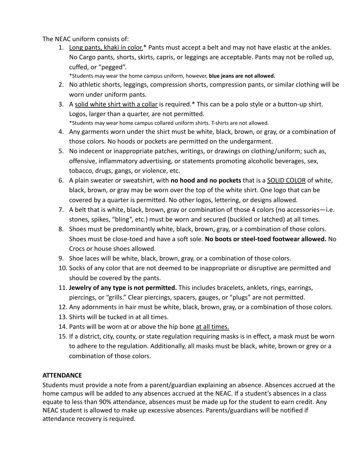The NEAC uniform consists of:

1. Long pants, khaki in color.\* Pants must accept a belt and may not have elastic at the ankles. No Cargo pants, shorts, skirts, capris, or leggings are acceptable. Pants may not be rolled up, cuffed, or "pegged".

\*Students may wear the home campus uniform, however, **blue jeans are not allowed.**

- 2. No athletic shorts, leggings, compression shorts, compression pants, or similar clothing will be worn under uniform pants.
- 3. A solid white shirt with a collar is required.\* This can be a polo style or a button-up shirt. Logos, larger than a quarter, are not permitted.

\*Students may wear home campus collared uniform shirts. T-shirts are not allowed.

- 4. Any garments worn under the shirt must be white, black, brown, or gray, or a combination of those colors. No hoods or pockets are permitted on the undergarment.
- 5. No indecent or inappropriate patches, writings, or drawings on clothing/uniform; such as, offensive, inflammatory advertising, or statements promoting alcoholic beverages, sex, tobacco, drugs, gangs, or violence, etc.
- 6. A plain sweater or sweatshirt, with **no hood and no pockets** that is a SOLID COLOR of white, black, brown, or gray may be worn over the top of the white shirt. One logo that can be covered by a quarter is permitted. No other logos, lettering, or designs allowed.
- 7. A belt that is white, black, brown, gray or combination of those 4 colors (no accessories—i.e. stones, spikes, "bling", etc.) must be worn and secured (buckled or latched) at all times.
- 8. Shoes must be predominantly white, black, brown, gray, or a combination of those colors. Shoes must be close-toed and have a soft sole. **No boots or steel-toed footwear allowed.** No Crocs or house shoes allowed.
- 9. Shoe laces will be white, black, brown, gray, or a combination of those colors.
- 10. Socks of any color that are not deemed to be inappropriate or disruptive are permitted and should be covered by the pants.
- 11. **Jewelry of any type is not permitted.** This includes bracelets, anklets, rings, earrings, piercings, or "grills." Clear piercings, spacers, gauges, or "plugs" are not permitted.
- 12. Any adornments in hair must be white, black, brown, gray, or a combination of those colors.
- 13. Shirts will be tucked in at all times.
- 14. Pants will be worn at or above the hip bone at all times.
- 15. If a district, city, county, or state regulation requiring masks is in effect, a mask must be worn to adhere to the regulation. Additionally, all masks must be black, white, brown or grey or a combination of those colors.

#### **ATTENDANCE**

Students must provide a note from a parent/guardian explaining an absence. Absences accrued at the home campus will be added to any absences accrued at the NEAC. If a student's absences in a class equate to less than 90% attendance, absences must be made up for the student to earn credit. Any NEAC student is allowed to make up excessive absences. Parents/guardians will be notified if attendance recovery is required.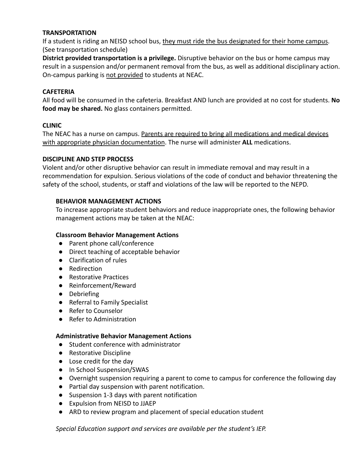#### **TRANSPORTATION**

If a student is riding an NEISD school bus, they must ride the bus designated for their home campus. (See transportation schedule)

**District provided transportation is a privilege.** Disruptive behavior on the bus or home campus may result in a suspension and/or permanent removal from the bus, as well as additional disciplinary action. On-campus parking is not provided to students at NEAC.

#### **CAFETERIA**

All food will be consumed in the cafeteria. Breakfast AND lunch are provided at no cost for students. **No food may be shared.** No glass containers permitted.

#### **CLINIC**

The NEAC has a nurse on campus. Parents are required to bring all medications and medical devices with appropriate physician documentation. The nurse will administer **ALL** medications.

#### **DISCIPLINE AND STEP PROCESS**

Violent and/or other disruptive behavior can result in immediate removal and may result in a recommendation for expulsion. Serious violations of the code of conduct and behavior threatening the safety of the school, students, or staff and violations of the law will be reported to the NEPD.

#### **BEHAVIOR MANAGEMENT ACTIONS**

To increase appropriate student behaviors and reduce inappropriate ones, the following behavior management actions may be taken at the NEAC:

#### **Classroom Behavior Management Actions**

- Parent phone call/conference
- Direct teaching of acceptable behavior
- Clarification of rules
- Redirection
- Restorative Practices
- Reinforcement/Reward
- Debriefing
- Referral to Family Specialist
- Refer to Counselor
- Refer to Administration

#### **Administrative Behavior Management Actions**

- Student conference with administrator
- Restorative Discipline
- Lose credit for the day
- In School Suspension/SWAS
- Overnight suspension requiring a parent to come to campus for conference the following day
- Partial day suspension with parent notification.
- Suspension 1-3 days with parent notification
- Expulsion from NEISD to JJAEP
- ARD to review program and placement of special education student

*Special Education support and services are available per the student's IEP.*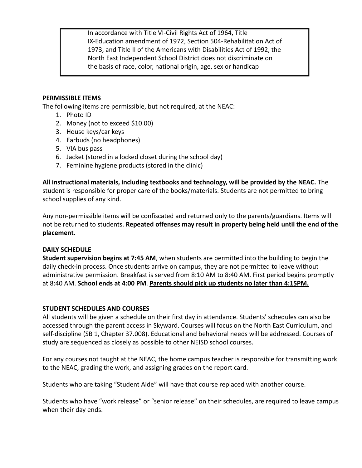In accordance with Title VI-Civil Rights Act of 1964, Title IX-Education amendment of 1972, Section 504-Rehabilitation Act of 1973, and Title II of the Americans with Disabilities Act of 1992, the North East Independent School District does not discriminate on the basis of race, color, national origin, age, sex or handicap

#### **PERMISSIBLE ITEMS**

The following items are permissible, but not required, at the NEAC:

- 1. Photo ID
- 2. Money (not to exceed \$10.00)
- 3. House keys/car keys
- 4. Earbuds (no headphones)
- 5. VIA bus pass
- 6. Jacket (stored in a locked closet during the school day)
- 7. Feminine hygiene products (stored in the clinic)

**All instructional materials, including textbooks and technology, will be provided by the NEAC.** The student is responsible for proper care of the books/materials. Students are not permitted to bring school supplies of any kind.

Any non-permissible items will be confiscated and returned only to the parents/guardians. Items will not be returned to students. **Repeated offenses may result in property being held until the end of the placement.**

#### **DAILY SCHEDULE**

**Student supervision begins at 7:45 AM**, when students are permitted into the building to begin the daily check-in process. Once students arrive on campus, they are not permitted to leave without administrative permission. Breakfast is served from 8:10 AM to 8:40 AM. First period begins promptly at 8:40 AM. **School ends at 4:00 PM**. **Parents should pick up students no later than 4:15PM.**

#### **STUDENT SCHEDULES AND COURSES**

All students will be given a schedule on their first day in attendance. Students' schedules can also be accessed through the parent access in Skyward. Courses will focus on the North East Curriculum, and self-discipline (SB 1, Chapter 37.008). Educational and behavioral needs will be addressed. Courses of study are sequenced as closely as possible to other NEISD school courses.

For any courses not taught at the NEAC, the home campus teacher is responsible for transmitting work to the NEAC, grading the work, and assigning grades on the report card.

Students who are taking "Student Aide" will have that course replaced with another course.

Students who have "work release" or "senior release" on their schedules, are required to leave campus when their day ends.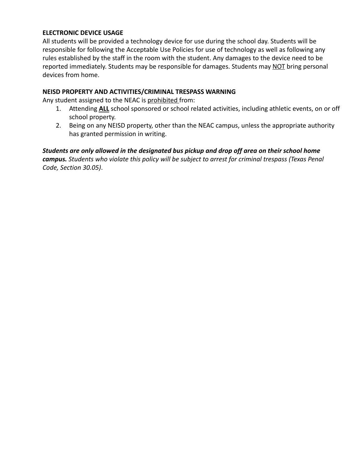#### **ELECTRONIC DEVICE USAGE**

All students will be provided a technology device for use during the school day. Students will be responsible for following the Acceptable Use Policies for use of technology as well as following any rules established by the staff in the room with the student. Any damages to the device need to be reported immediately. Students may be responsible for damages. Students may NOT bring personal devices from home.

#### **NEISD PROPERTY AND ACTIVITIES/CRIMINAL TRESPASS WARNING**

Any student assigned to the NEAC is prohibited from:

- 1. Attending **ALL** school sponsored or school related activities, including athletic events, on or off school property.
- 2. Being on any NEISD property, other than the NEAC campus, unless the appropriate authority has granted permission in writing.

*Students are only allowed in the designated bus pickup and drop off area on their school home campus. Students who violate this policy will be subject to arrest for criminal trespass (Texas Penal Code, Section 30.05)*.